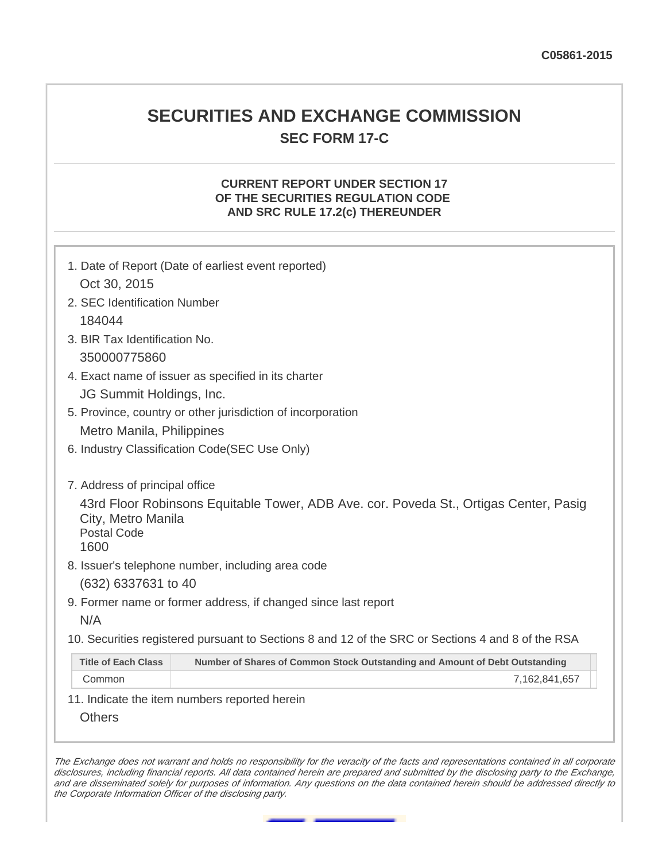# **SECURITIES AND EXCHANGE COMMISSION SEC FORM 17-C**

## **CURRENT REPORT UNDER SECTION 17 OF THE SECURITIES REGULATION CODE AND SRC RULE 17.2(c) THEREUNDER**

| 1. Date of Report (Date of earliest event reported)                                                                                       |                                                                             |  |  |  |
|-------------------------------------------------------------------------------------------------------------------------------------------|-----------------------------------------------------------------------------|--|--|--|
| Oct 30, 2015                                                                                                                              |                                                                             |  |  |  |
| 2. SEC Identification Number                                                                                                              |                                                                             |  |  |  |
| 184044                                                                                                                                    |                                                                             |  |  |  |
| 3. BIR Tax Identification No.                                                                                                             |                                                                             |  |  |  |
| 350000775860                                                                                                                              |                                                                             |  |  |  |
| 4. Exact name of issuer as specified in its charter                                                                                       |                                                                             |  |  |  |
| JG Summit Holdings, Inc.                                                                                                                  |                                                                             |  |  |  |
| 5. Province, country or other jurisdiction of incorporation                                                                               |                                                                             |  |  |  |
| Metro Manila, Philippines                                                                                                                 |                                                                             |  |  |  |
| 6. Industry Classification Code(SEC Use Only)                                                                                             |                                                                             |  |  |  |
|                                                                                                                                           |                                                                             |  |  |  |
| 7. Address of principal office                                                                                                            |                                                                             |  |  |  |
| 43rd Floor Robinsons Equitable Tower, ADB Ave. cor. Poveda St., Ortigas Center, Pasig<br>City, Metro Manila<br><b>Postal Code</b><br>1600 |                                                                             |  |  |  |
| 8. Issuer's telephone number, including area code                                                                                         |                                                                             |  |  |  |
| (632) 6337631 to 40                                                                                                                       |                                                                             |  |  |  |
| 9. Former name or former address, if changed since last report                                                                            |                                                                             |  |  |  |
| N/A                                                                                                                                       |                                                                             |  |  |  |
| 10. Securities registered pursuant to Sections 8 and 12 of the SRC or Sections 4 and 8 of the RSA                                         |                                                                             |  |  |  |
| <b>Title of Each Class</b>                                                                                                                | Number of Shares of Common Stock Outstanding and Amount of Debt Outstanding |  |  |  |
| Common                                                                                                                                    | 7,162,841,657                                                               |  |  |  |
| 11. Indicate the item numbers reported herein                                                                                             |                                                                             |  |  |  |
| <b>Others</b>                                                                                                                             |                                                                             |  |  |  |
|                                                                                                                                           |                                                                             |  |  |  |

The Exchange does not warrant and holds no responsibility for the veracity of the facts and representations contained in all corporate disclosures, including financial reports. All data contained herein are prepared and submitted by the disclosing party to the Exchange, and are disseminated solely for purposes of information. Any questions on the data contained herein should be addressed directly to the Corporate Information Officer of the disclosing party.